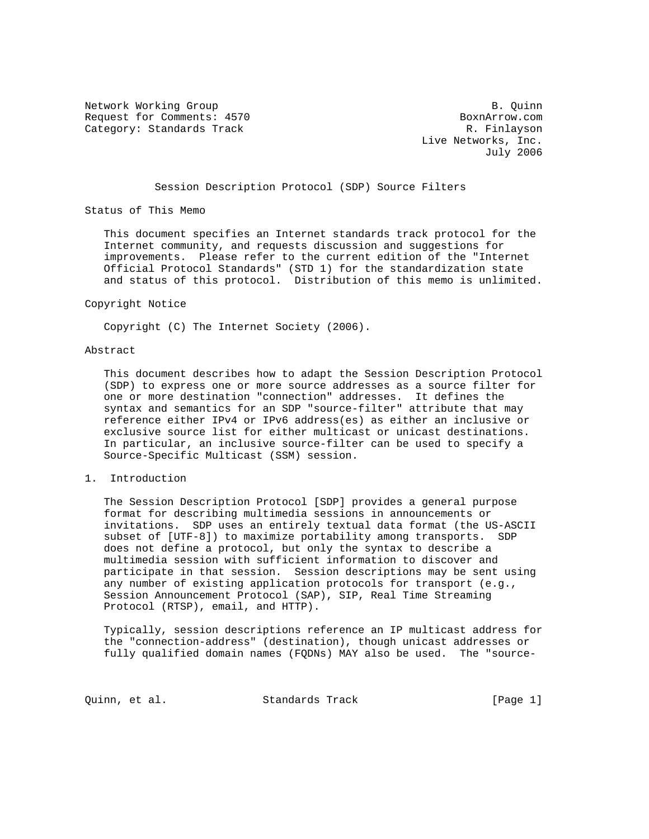Network Working Group and B. Quinn Request for Comments: 4570 BoxnArrow.com Category: Standards Track R. Finlayson

 Live Networks, Inc. July 2006

### Session Description Protocol (SDP) Source Filters

Status of This Memo

 This document specifies an Internet standards track protocol for the Internet community, and requests discussion and suggestions for improvements. Please refer to the current edition of the "Internet Official Protocol Standards" (STD 1) for the standardization state and status of this protocol. Distribution of this memo is unlimited.

#### Copyright Notice

Copyright (C) The Internet Society (2006).

#### Abstract

 This document describes how to adapt the Session Description Protocol (SDP) to express one or more source addresses as a source filter for one or more destination "connection" addresses. It defines the syntax and semantics for an SDP "source-filter" attribute that may reference either IPv4 or IPv6 address(es) as either an inclusive or exclusive source list for either multicast or unicast destinations. In particular, an inclusive source-filter can be used to specify a Source-Specific Multicast (SSM) session.

#### 1. Introduction

 The Session Description Protocol [SDP] provides a general purpose format for describing multimedia sessions in announcements or invitations. SDP uses an entirely textual data format (the US-ASCII subset of [UTF-8]) to maximize portability among transports. SDP does not define a protocol, but only the syntax to describe a multimedia session with sufficient information to discover and participate in that session. Session descriptions may be sent using any number of existing application protocols for transport (e.g., Session Announcement Protocol (SAP), SIP, Real Time Streaming Protocol (RTSP), email, and HTTP).

 Typically, session descriptions reference an IP multicast address for the "connection-address" (destination), though unicast addresses or fully qualified domain names (FQDNs) MAY also be used. The "source-

Quinn, et al. Standards Track [Page 1]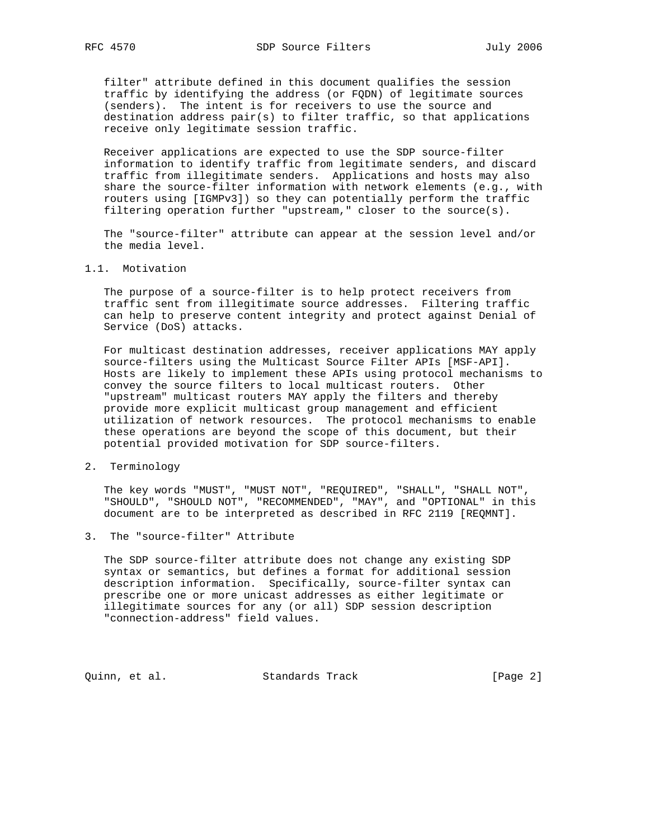filter" attribute defined in this document qualifies the session traffic by identifying the address (or FQDN) of legitimate sources (senders). The intent is for receivers to use the source and destination address pair(s) to filter traffic, so that applications receive only legitimate session traffic.

 Receiver applications are expected to use the SDP source-filter information to identify traffic from legitimate senders, and discard traffic from illegitimate senders. Applications and hosts may also share the source-filter information with network elements (e.g., with routers using [IGMPv3]) so they can potentially perform the traffic filtering operation further "upstream," closer to the source(s).

 The "source-filter" attribute can appear at the session level and/or the media level.

## 1.1. Motivation

 The purpose of a source-filter is to help protect receivers from traffic sent from illegitimate source addresses. Filtering traffic can help to preserve content integrity and protect against Denial of Service (DoS) attacks.

 For multicast destination addresses, receiver applications MAY apply source-filters using the Multicast Source Filter APIs [MSF-API]. Hosts are likely to implement these APIs using protocol mechanisms to convey the source filters to local multicast routers. Other "upstream" multicast routers MAY apply the filters and thereby provide more explicit multicast group management and efficient utilization of network resources. The protocol mechanisms to enable these operations are beyond the scope of this document, but their potential provided motivation for SDP source-filters.

2. Terminology

 The key words "MUST", "MUST NOT", "REQUIRED", "SHALL", "SHALL NOT", "SHOULD", "SHOULD NOT", "RECOMMENDED", "MAY", and "OPTIONAL" in this document are to be interpreted as described in RFC 2119 [REQMNT].

3. The "source-filter" Attribute

 The SDP source-filter attribute does not change any existing SDP syntax or semantics, but defines a format for additional session description information. Specifically, source-filter syntax can prescribe one or more unicast addresses as either legitimate or illegitimate sources for any (or all) SDP session description "connection-address" field values.

Quinn, et al. Standards Track [Page 2]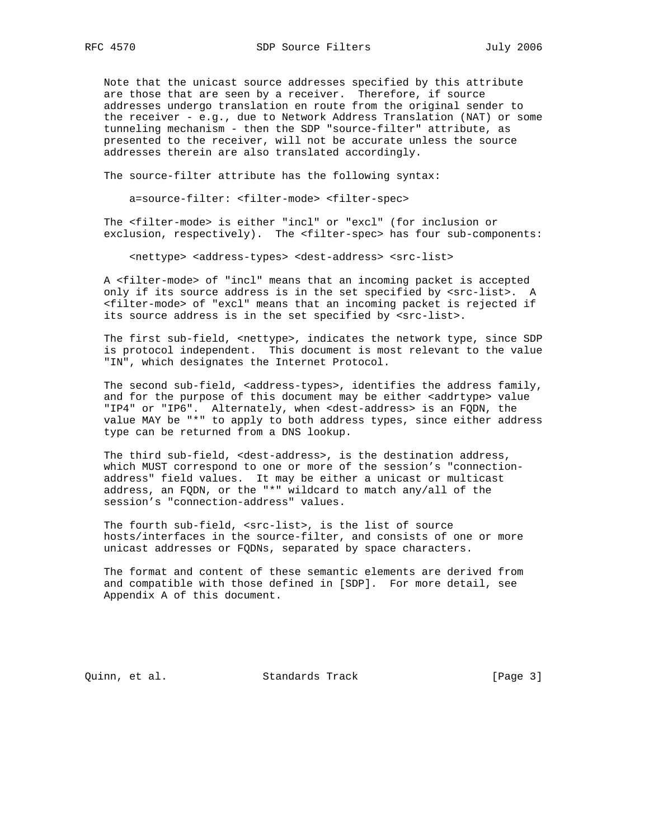Note that the unicast source addresses specified by this attribute are those that are seen by a receiver. Therefore, if source addresses undergo translation en route from the original sender to the receiver - e.g., due to Network Address Translation (NAT) or some tunneling mechanism - then the SDP "source-filter" attribute, as presented to the receiver, will not be accurate unless the source addresses therein are also translated accordingly.

The source-filter attribute has the following syntax:

a=source-filter: <filter-mode> <filter-spec>

 The <filter-mode> is either "incl" or "excl" (for inclusion or exclusion, respectively). The <filter-spec> has four sub-components:

<nettype> <address-types> <dest-address> <src-list>

 A <filter-mode> of "incl" means that an incoming packet is accepted only if its source address is in the set specified by <src-list>. A <filter-mode> of "excl" means that an incoming packet is rejected if its source address is in the set specified by <src-list>.

The first sub-field, <nettype>, indicates the network type, since SDP is protocol independent. This document is most relevant to the value "IN", which designates the Internet Protocol.

The second sub-field, <address-types>, identifies the address family, and for the purpose of this document may be either <addrtype> value "IP4" or "IP6". Alternately, when <dest-address> is an FQDN, the value MAY be "\*" to apply to both address types, since either address type can be returned from a DNS lookup.

 The third sub-field, <dest-address>, is the destination address, which MUST correspond to one or more of the session's "connection address" field values. It may be either a unicast or multicast address, an FQDN, or the "\*" wildcard to match any/all of the session's "connection-address" values.

 The fourth sub-field, <src-list>, is the list of source hosts/interfaces in the source-filter, and consists of one or more unicast addresses or FQDNs, separated by space characters.

 The format and content of these semantic elements are derived from and compatible with those defined in [SDP]. For more detail, see Appendix A of this document.

Quinn, et al. Standards Track [Page 3]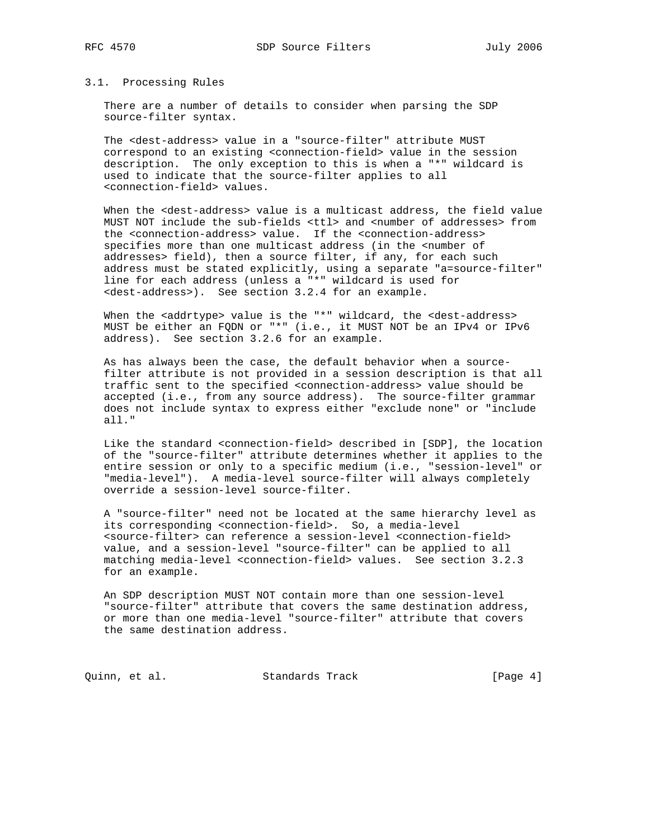### 3.1. Processing Rules

 There are a number of details to consider when parsing the SDP source-filter syntax.

 The <dest-address> value in a "source-filter" attribute MUST correspond to an existing <connection-field> value in the session description. The only exception to this is when a "\*" wildcard is used to indicate that the source-filter applies to all <connection-field> values.

When the <dest-address> value is a multicast address, the field value MUST NOT include the sub-fields <ttl> and <number of addresses> from the <connection-address> value. If the <connection-address> specifies more than one multicast address (in the <number of addresses> field), then a source filter, if any, for each such address must be stated explicitly, using a separate "a=source-filter" line for each address (unless a "\*" wildcard is used for <dest-address>). See section 3.2.4 for an example.

When the <addrtype> value is the "\*" wildcard, the <dest-address> MUST be either an FQDN or "\*" (i.e., it MUST NOT be an IPv4 or IPv6 address). See section 3.2.6 for an example.

 As has always been the case, the default behavior when a source filter attribute is not provided in a session description is that all traffic sent to the specified <connection-address> value should be accepted (i.e., from any source address). The source-filter grammar does not include syntax to express either "exclude none" or "include all."

 Like the standard <connection-field> described in [SDP], the location of the "source-filter" attribute determines whether it applies to the entire session or only to a specific medium (i.e., "session-level" or "media-level"). A media-level source-filter will always completely override a session-level source-filter.

 A "source-filter" need not be located at the same hierarchy level as its corresponding <connection-field>. So, a media-level <source-filter> can reference a session-level <connection-field> value, and a session-level "source-filter" can be applied to all matching media-level <connection-field> values. See section 3.2.3 for an example.

 An SDP description MUST NOT contain more than one session-level "source-filter" attribute that covers the same destination address, or more than one media-level "source-filter" attribute that covers the same destination address.

Quinn, et al. Standards Track [Page 4]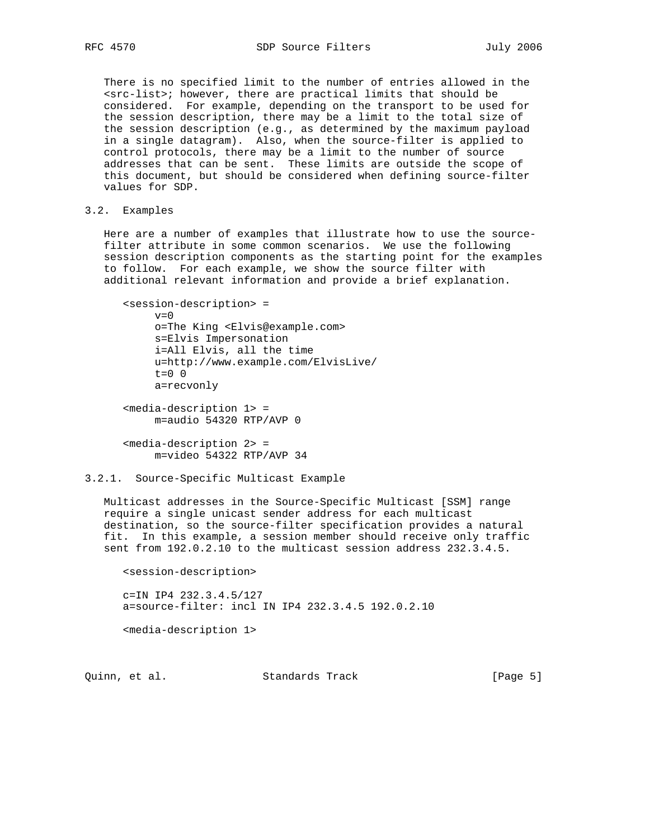There is no specified limit to the number of entries allowed in the <src-list>; however, there are practical limits that should be considered. For example, depending on the transport to be used for the session description, there may be a limit to the total size of the session description (e.g., as determined by the maximum payload in a single datagram). Also, when the source-filter is applied to control protocols, there may be a limit to the number of source addresses that can be sent. These limits are outside the scope of this document, but should be considered when defining source-filter values for SDP.

## 3.2. Examples

 Here are a number of examples that illustrate how to use the source filter attribute in some common scenarios. We use the following session description components as the starting point for the examples to follow. For each example, we show the source filter with additional relevant information and provide a brief explanation.

 <session-description> =  $v=0$  o=The King <Elvis@example.com> s=Elvis Impersonation i=All Elvis, all the time u=http://www.example.com/ElvisLive/ t=0 0 a=recvonly <media-description 1> = m=audio 54320 RTP/AVP 0

 <media-description 2> = m=video 54322 RTP/AVP 34

## 3.2.1. Source-Specific Multicast Example

 Multicast addresses in the Source-Specific Multicast [SSM] range require a single unicast sender address for each multicast destination, so the source-filter specification provides a natural fit. In this example, a session member should receive only traffic sent from 192.0.2.10 to the multicast session address 232.3.4.5.

 <session-description> c=IN IP4 232.3.4.5/127 a=source-filter: incl IN IP4 232.3.4.5 192.0.2.10

<media-description 1>

Quinn, et al. Standards Track [Page 5]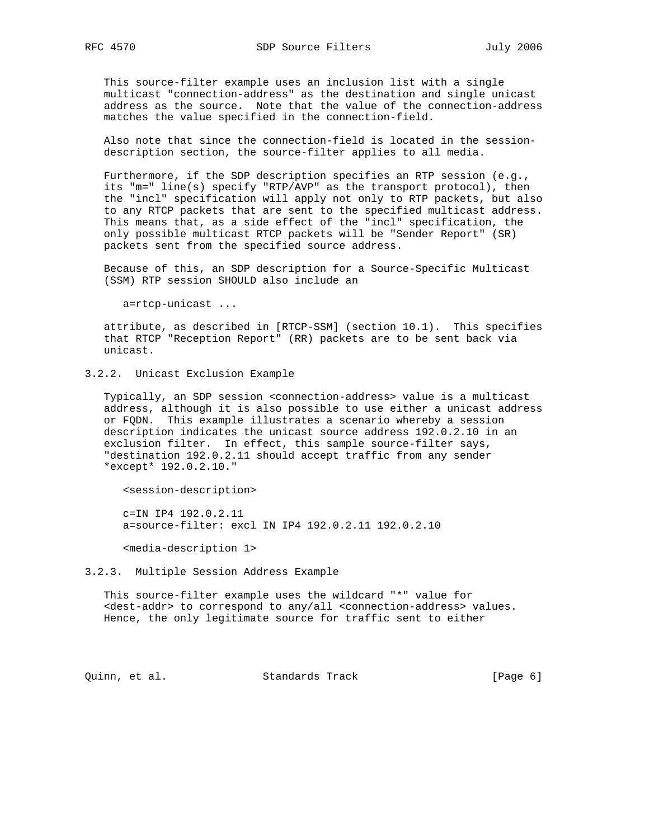This source-filter example uses an inclusion list with a single multicast "connection-address" as the destination and single unicast address as the source. Note that the value of the connection-address matches the value specified in the connection-field.

 Also note that since the connection-field is located in the session description section, the source-filter applies to all media.

 Furthermore, if the SDP description specifies an RTP session (e.g., its "m=" line(s) specify "RTP/AVP" as the transport protocol), then the "incl" specification will apply not only to RTP packets, but also to any RTCP packets that are sent to the specified multicast address. This means that, as a side effect of the "incl" specification, the only possible multicast RTCP packets will be "Sender Report" (SR) packets sent from the specified source address.

 Because of this, an SDP description for a Source-Specific Multicast (SSM) RTP session SHOULD also include an

a=rtcp-unicast ...

 attribute, as described in [RTCP-SSM] (section 10.1). This specifies that RTCP "Reception Report" (RR) packets are to be sent back via unicast.

3.2.2. Unicast Exclusion Example

 Typically, an SDP session <connection-address> value is a multicast address, although it is also possible to use either a unicast address or FQDN. This example illustrates a scenario whereby a session description indicates the unicast source address 192.0.2.10 in an exclusion filter. In effect, this sample source-filter says, "destination 192.0.2.11 should accept traffic from any sender \*except\* 192.0.2.10."

<session-description>

 c=IN IP4 192.0.2.11 a=source-filter: excl IN IP4 192.0.2.11 192.0.2.10

<media-description 1>

#### 3.2.3. Multiple Session Address Example

 This source-filter example uses the wildcard "\*" value for <dest-addr> to correspond to any/all <connection-address> values. Hence, the only legitimate source for traffic sent to either

Quinn, et al. Standards Track [Page 6]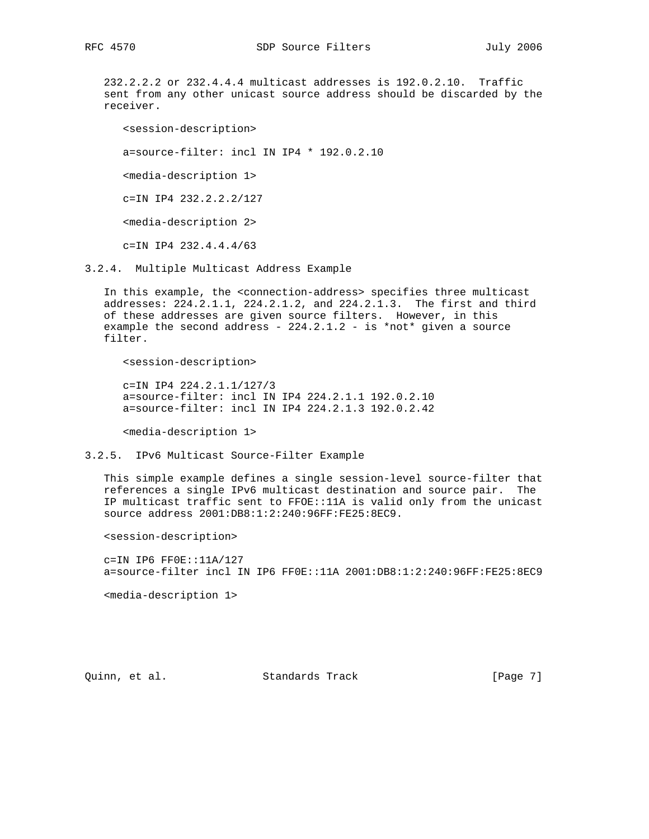232.2.2.2 or 232.4.4.4 multicast addresses is 192.0.2.10. Traffic sent from any other unicast source address should be discarded by the receiver.

 <session-description> a=source-filter: incl IN IP4 \* 192.0.2.10 <media-description 1> c=IN IP4 232.2.2.2/127 <media-description 2> c=IN IP4 232.4.4.4/63

3.2.4. Multiple Multicast Address Example

 In this example, the <connection-address> specifies three multicast addresses: 224.2.1.1, 224.2.1.2, and 224.2.1.3. The first and third of these addresses are given source filters. However, in this example the second address -  $224.2.1.2$  - is \*not\* given a source filter.

<session-description>

 c=IN IP4 224.2.1.1/127/3 a=source-filter: incl IN IP4 224.2.1.1 192.0.2.10 a=source-filter: incl IN IP4 224.2.1.3 192.0.2.42

<media-description 1>

3.2.5. IPv6 Multicast Source-Filter Example

 This simple example defines a single session-level source-filter that references a single IPv6 multicast destination and source pair. The IP multicast traffic sent to FFOE::11A is valid only from the unicast source address 2001:DB8:1:2:240:96FF:FE25:8EC9.

<session-description>

 c=IN IP6 FF0E::11A/127 a=source-filter incl IN IP6 FF0E::11A 2001:DB8:1:2:240:96FF:FE25:8EC9

<media-description 1>

Quinn, et al. Standards Track [Page 7]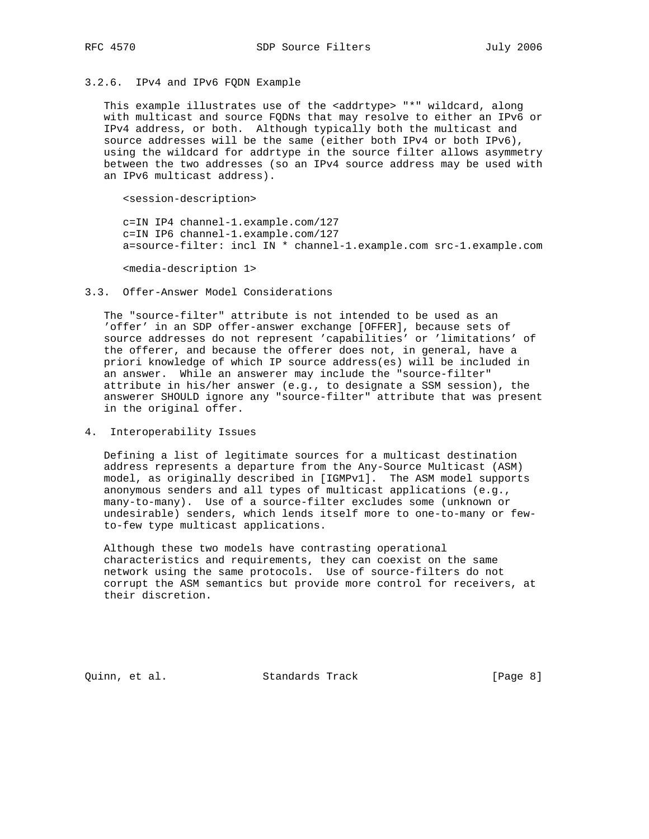# 3.2.6. IPv4 and IPv6 FQDN Example

This example illustrates use of the <addrtype> "\*" wildcard, along with multicast and source FQDNs that may resolve to either an IPv6 or IPv4 address, or both. Although typically both the multicast and source addresses will be the same (either both IPv4 or both IPv6), using the wildcard for addrtype in the source filter allows asymmetry between the two addresses (so an IPv4 source address may be used with an IPv6 multicast address).

<session-description>

 c=IN IP4 channel-1.example.com/127 c=IN IP6 channel-1.example.com/127 a=source-filter: incl IN \* channel-1.example.com src-1.example.com

<media-description 1>

#### 3.3. Offer-Answer Model Considerations

 The "source-filter" attribute is not intended to be used as an 'offer' in an SDP offer-answer exchange [OFFER], because sets of source addresses do not represent 'capabilities' or 'limitations' of the offerer, and because the offerer does not, in general, have a priori knowledge of which IP source address(es) will be included in an answer. While an answerer may include the "source-filter" attribute in his/her answer (e.g., to designate a SSM session), the answerer SHOULD ignore any "source-filter" attribute that was present in the original offer.

4. Interoperability Issues

 Defining a list of legitimate sources for a multicast destination address represents a departure from the Any-Source Multicast (ASM) model, as originally described in [IGMPv1]. The ASM model supports anonymous senders and all types of multicast applications (e.g., many-to-many). Use of a source-filter excludes some (unknown or undesirable) senders, which lends itself more to one-to-many or few to-few type multicast applications.

 Although these two models have contrasting operational characteristics and requirements, they can coexist on the same network using the same protocols. Use of source-filters do not corrupt the ASM semantics but provide more control for receivers, at their discretion.

Quinn, et al. Standards Track (Page 8)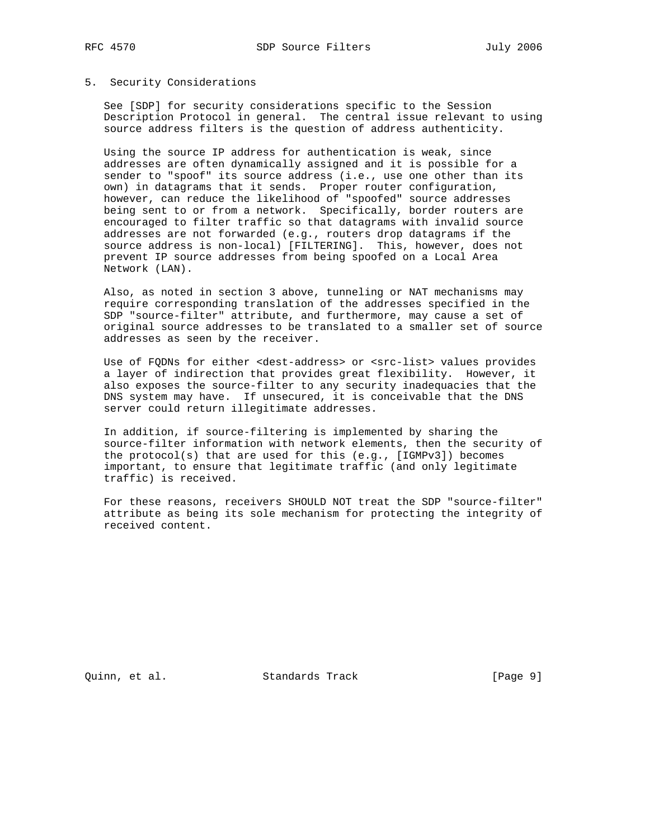#### 5. Security Considerations

 See [SDP] for security considerations specific to the Session Description Protocol in general. The central issue relevant to using source address filters is the question of address authenticity.

 Using the source IP address for authentication is weak, since addresses are often dynamically assigned and it is possible for a sender to "spoof" its source address (i.e., use one other than its own) in datagrams that it sends. Proper router configuration, however, can reduce the likelihood of "spoofed" source addresses being sent to or from a network. Specifically, border routers are encouraged to filter traffic so that datagrams with invalid source addresses are not forwarded (e.g., routers drop datagrams if the source address is non-local) [FILTERING]. This, however, does not prevent IP source addresses from being spoofed on a Local Area Network (LAN).

 Also, as noted in section 3 above, tunneling or NAT mechanisms may require corresponding translation of the addresses specified in the SDP "source-filter" attribute, and furthermore, may cause a set of original source addresses to be translated to a smaller set of source addresses as seen by the receiver.

Use of FQDNs for either <dest-address> or <src-list> values provides a layer of indirection that provides great flexibility. However, it also exposes the source-filter to any security inadequacies that the DNS system may have. If unsecured, it is conceivable that the DNS server could return illegitimate addresses.

 In addition, if source-filtering is implemented by sharing the source-filter information with network elements, then the security of the protocol(s) that are used for this (e.g., [IGMPv3]) becomes important, to ensure that legitimate traffic (and only legitimate traffic) is received.

 For these reasons, receivers SHOULD NOT treat the SDP "source-filter" attribute as being its sole mechanism for protecting the integrity of received content.

Quinn, et al. Standards Track [Page 9]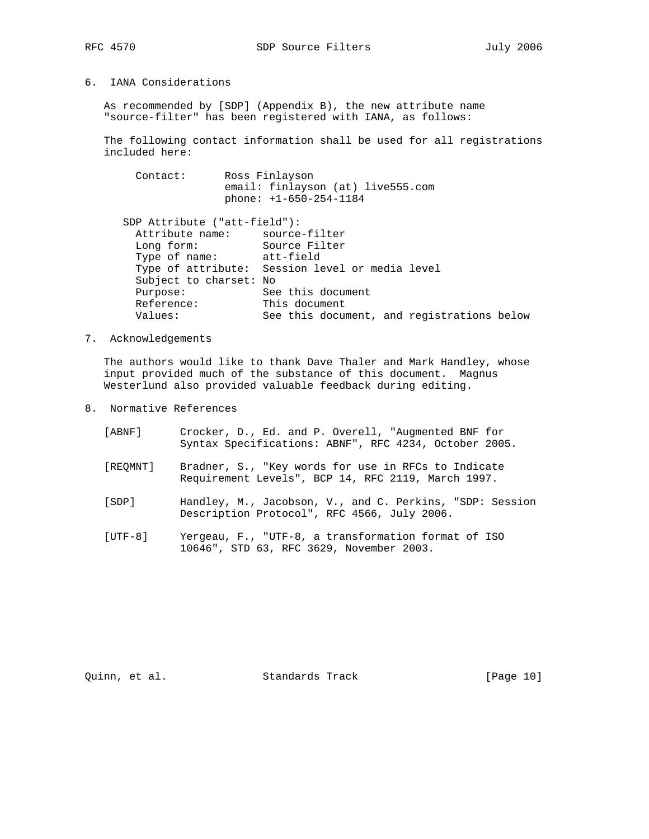## 6. IANA Considerations

 As recommended by [SDP] (Appendix B), the new attribute name "source-filter" has been registered with IANA, as follows:

 The following contact information shall be used for all registrations included here:

| Contact: | Ross Finlayson                    |
|----------|-----------------------------------|
|          | email: finlayson (at) live555.com |
|          | $phone: +1-650-254-1184$          |

| SDP Attribute ("att-field"):  |                                                 |
|-------------------------------|-------------------------------------------------|
| Attribute name: source-filter |                                                 |
| Long form:                    | Source Filter                                   |
| Type of name: att-field       |                                                 |
|                               | Type of attribute: Session level or media level |
| Subject to charset: No        |                                                 |
| Purpose:                      | See this document                               |
| Reference:                    | This document                                   |
| Values:                       | See this document, and registrations below      |
|                               |                                                 |

7. Acknowledgements

 The authors would like to thank Dave Thaler and Mark Handley, whose input provided much of the substance of this document. Magnus Westerlund also provided valuable feedback during editing.

- 8. Normative References
	- [ABNF] Crocker, D., Ed. and P. Overell, "Augmented BNF for Syntax Specifications: ABNF", RFC 4234, October 2005.
	- [REQMNT] Bradner, S., "Key words for use in RFCs to Indicate Requirement Levels", BCP 14, RFC 2119, March 1997.
	- [SDP] Handley, M., Jacobson, V., and C. Perkins, "SDP: Session Description Protocol", RFC 4566, July 2006.
	- [UTF-8] Yergeau, F., "UTF-8, a transformation format of ISO 10646", STD 63, RFC 3629, November 2003.

Quinn, et al. Standards Track [Page 10]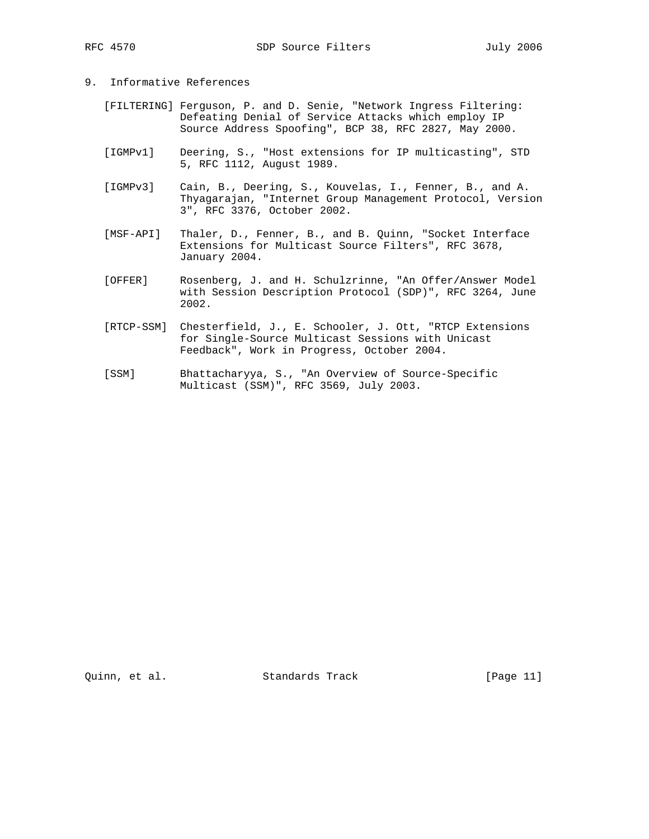- 9. Informative References
	- [FILTERING] Ferguson, P. and D. Senie, "Network Ingress Filtering: Defeating Denial of Service Attacks which employ IP Source Address Spoofing", BCP 38, RFC 2827, May 2000.
	- [IGMPv1] Deering, S., "Host extensions for IP multicasting", STD 5, RFC 1112, August 1989.
	- [IGMPv3] Cain, B., Deering, S., Kouvelas, I., Fenner, B., and A. Thyagarajan, "Internet Group Management Protocol, Version 3", RFC 3376, October 2002.
	- [MSF-API] Thaler, D., Fenner, B., and B. Quinn, "Socket Interface Extensions for Multicast Source Filters", RFC 3678, January 2004.
	- [OFFER] Rosenberg, J. and H. Schulzrinne, "An Offer/Answer Model with Session Description Protocol (SDP)", RFC 3264, June 2002.
	- [RTCP-SSM] Chesterfield, J., E. Schooler, J. Ott, "RTCP Extensions for Single-Source Multicast Sessions with Unicast Feedback", Work in Progress, October 2004.
	- [SSM] Bhattacharyya, S., "An Overview of Source-Specific Multicast (SSM)", RFC 3569, July 2003.

Quinn, et al. Standards Track [Page 11]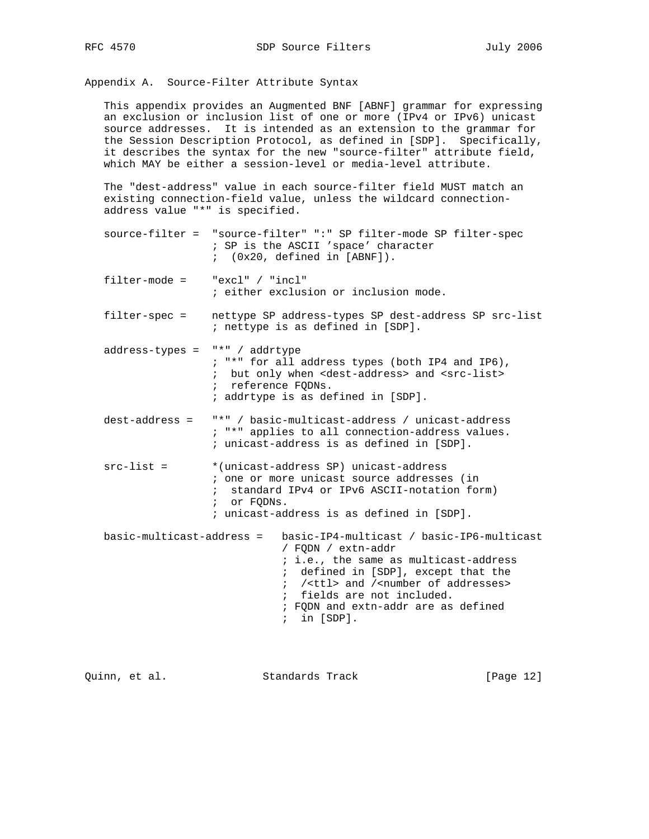Appendix A. Source-Filter Attribute Syntax

 This appendix provides an Augmented BNF [ABNF] grammar for expressing an exclusion or inclusion list of one or more (IPv4 or IPv6) unicast source addresses. It is intended as an extension to the grammar for the Session Description Protocol, as defined in [SDP]. Specifically, it describes the syntax for the new "source-filter" attribute field, which MAY be either a session-level or media-level attribute.

 The "dest-address" value in each source-filter field MUST match an existing connection-field value, unless the wildcard connection address value "\*" is specified.

- source-filter = "source-filter" ":" SP filter-mode SP filter-spec ; SP is the ASCII 'space' character ; (0x20, defined in [ABNF]).
- filter-mode = "excl" / "incl" ; either exclusion or inclusion mode.
- filter-spec = nettype SP address-types SP dest-address SP src-list ; nettype is as defined in [SDP].
- address-types = "\*" / addrtype ; "\*" for all address types (both IP4 and IP6), ; but only when <dest-address> and <src-list> ; reference FQDNs. ; addrtype is as defined in [SDP].
	- dest-address = "\*" / basic-multicast-address / unicast-address ; "\*" applies to all connection-address values. ; unicast-address is as defined in [SDP].
	- src-list = \*(unicast-address SP) unicast-address ; one or more unicast source addresses (in ; standard IPv4 or IPv6 ASCII-notation form) ; or FQDNs. ; unicast-address is as defined in [SDP].

 basic-multicast-address = basic-IP4-multicast / basic-IP6-multicast / FQDN / extn-addr ; i.e., the same as multicast-address ; defined in [SDP], except that the ; /<ttl> and /<number of addresses> ; fields are not included. ; FQDN and extn-addr are as defined ; in [SDP].

Quinn, et al. Standards Track [Page 12]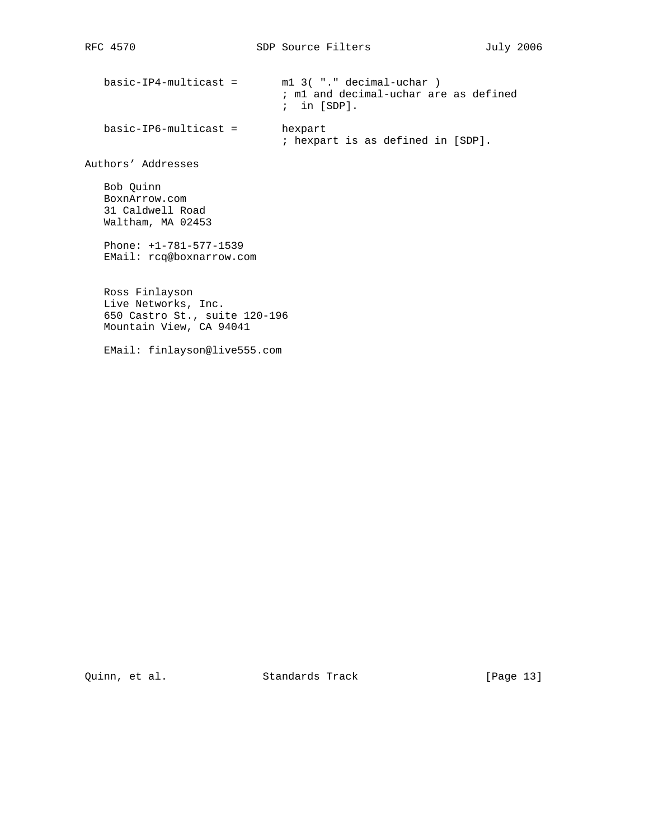basic-IP4-multicast = m1 3( "." decimal-uchar ) ; m1 and decimal-uchar are as defined ; in [SDP]. basic-IP6-multicast = hexpart ; hexpart is as defined in [SDP]. Authors' Addresses Bob Quinn BoxnArrow.com 31 Caldwell Road Waltham, MA 02453 Phone: +1-781-577-1539 EMail: rcq@boxnarrow.com Ross Finlayson Live Networks, Inc. 650 Castro St., suite 120-196 Mountain View, CA 94041 EMail: finlayson@live555.com

Quinn, et al. Standards Track [Page 13]